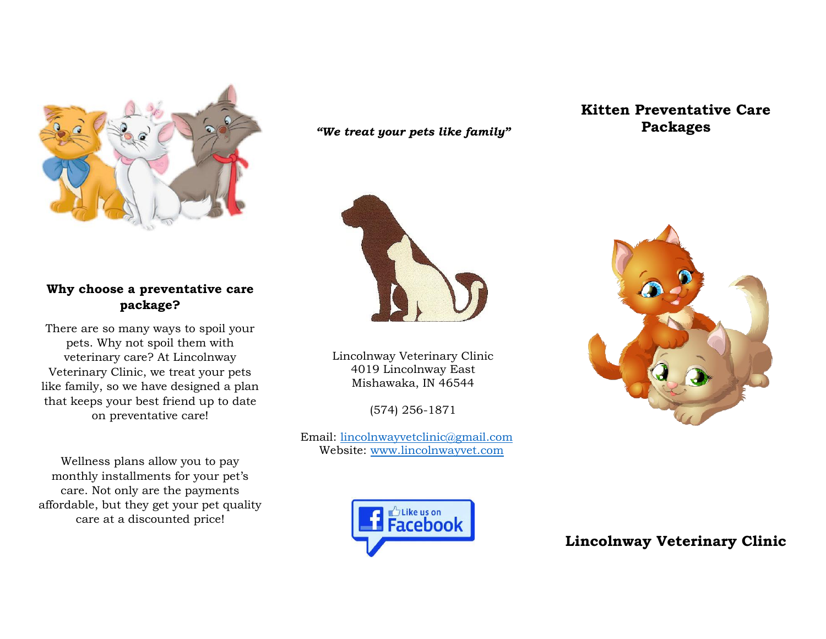

*"We treat your pets like family"*

## **Kitten Preventative Care Packages**



**Why choose a preventative care package?**

There are so many ways to spoil your pets. Why not spoil them with veterinary care? At Lincolnway Veterinary Clinic, we treat your pets like family, so we have designed a plan that keeps your best friend up to date on preventative care!

Wellness plans allow you to pay monthly installments for your pet's care. Not only are the payments affordable, but they get your pet quality care at a discounted price!

Lincolnway Veterinary Clinic 4019 Lincolnway East Mishawaka, IN 46544

(574) 256-1871

Email: [lincolnwayvetclinic@gmail.com](mailto:lincolnwayvetclinic@gmail.com) Website: [www.lincolnwayvet.com](http://www.lincolnwayvet.com/)





**Lincolnway Veterinary Clinic**